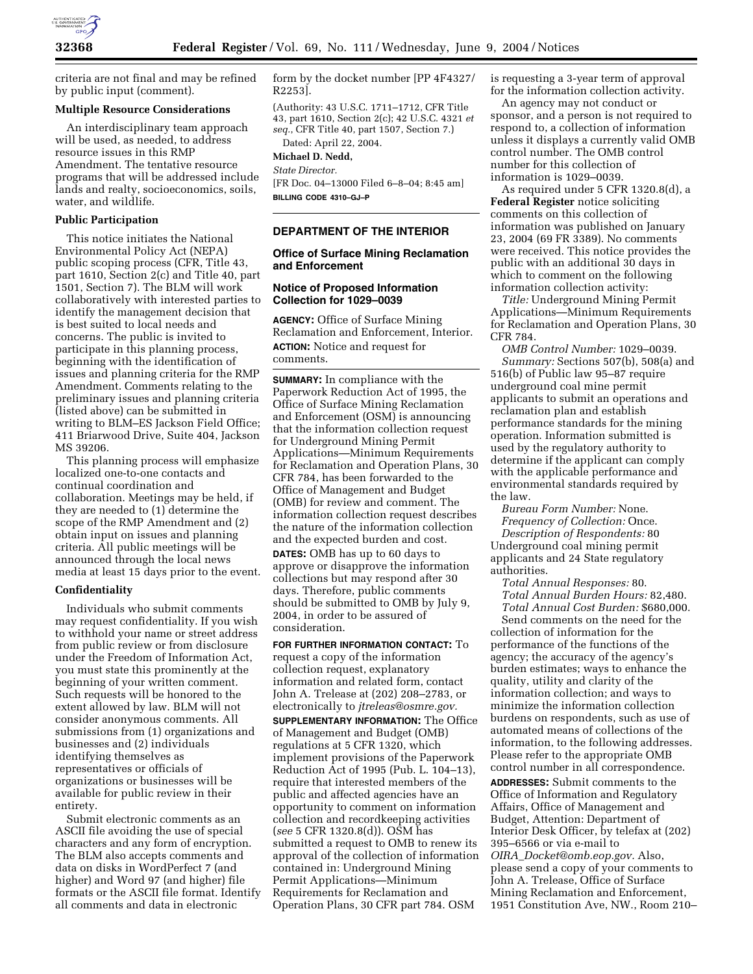

criteria are not final and may be refined by public input (comment).

#### **Multiple Resource Considerations**

An interdisciplinary team approach will be used, as needed, to address resource issues in this RMP Amendment. The tentative resource programs that will be addressed include lands and realty, socioeconomics, soils, water, and wildlife.

#### **Public Participation**

This notice initiates the National Environmental Policy Act (NEPA) public scoping process (CFR, Title 43, part 1610, Section 2(c) and Title 40, part 1501, Section 7). The BLM will work collaboratively with interested parties to identify the management decision that is best suited to local needs and concerns. The public is invited to participate in this planning process, beginning with the identification of issues and planning criteria for the RMP Amendment. Comments relating to the preliminary issues and planning criteria (listed above) can be submitted in writing to BLM–ES Jackson Field Office; 411 Briarwood Drive, Suite 404, Jackson MS 39206.

This planning process will emphasize localized one-to-one contacts and continual coordination and collaboration. Meetings may be held, if they are needed to (1) determine the scope of the RMP Amendment and (2) obtain input on issues and planning criteria. All public meetings will be announced through the local news media at least 15 days prior to the event.

#### **Confidentiality**

Individuals who submit comments may request confidentiality. If you wish to withhold your name or street address from public review or from disclosure under the Freedom of Information Act, you must state this prominently at the beginning of your written comment. Such requests will be honored to the extent allowed by law. BLM will not consider anonymous comments. All submissions from (1) organizations and businesses and (2) individuals identifying themselves as representatives or officials of organizations or businesses will be available for public review in their entirety.

Submit electronic comments as an ASCII file avoiding the use of special characters and any form of encryption. The BLM also accepts comments and data on disks in WordPerfect 7 (and higher) and Word 97 (and higher) file formats or the ASCII file format. Identify all comments and data in electronic

form by the docket number [PP 4F4327/ R2253].

(Authority: 43 U.S.C. 1711–1712, CFR Title 43, part 1610, Section 2(c); 42 U.S.C. 4321 *et seq.*, CFR Title 40, part 1507, Section 7.) Dated: April 22, 2004.

# **Michael D. Nedd,**

*State Director.*

[FR Doc. 04–13000 Filed 6–8–04; 8:45 am] **BILLING CODE 4310–GJ–P**

# **DEPARTMENT OF THE INTERIOR**

### **Office of Surface Mining Reclamation and Enforcement**

#### **Notice of Proposed Information Collection for 1029–0039**

**AGENCY:** Office of Surface Mining Reclamation and Enforcement, Interior. **ACTION:** Notice and request for comments.

**SUMMARY:** In compliance with the Paperwork Reduction Act of 1995, the Office of Surface Mining Reclamation and Enforcement (OSM) is announcing that the information collection request for Underground Mining Permit Applications—Minimum Requirements for Reclamation and Operation Plans, 30 CFR 784, has been forwarded to the Office of Management and Budget (OMB) for review and comment. The information collection request describes the nature of the information collection and the expected burden and cost.

**DATES:** OMB has up to 60 days to approve or disapprove the information collections but may respond after 30 days. Therefore, public comments should be submitted to OMB by July 9, 2004, in order to be assured of consideration.

**FOR FURTHER INFORMATION CONTACT:** To request a copy of the information collection request, explanatory information and related form, contact John A. Trelease at (202) 208–2783, or electronically to *jtreleas@osmre.gov.* **SUPPLEMENTARY INFORMATION:** The Office of Management and Budget (OMB) regulations at 5 CFR 1320, which implement provisions of the Paperwork Reduction Act of 1995 (Pub. L. 104–13), require that interested members of the public and affected agencies have an opportunity to comment on information collection and recordkeeping activities (*see* 5 CFR 1320.8(d)). OSM has submitted a request to OMB to renew its approval of the collection of information contained in: Underground Mining Permit Applications—Minimum Requirements for Reclamation and Operation Plans, 30 CFR part 784. OSM

is requesting a 3-year term of approval for the information collection activity.

An agency may not conduct or sponsor, and a person is not required to respond to, a collection of information unless it displays a currently valid OMB control number. The OMB control number for this collection of information is 1029–0039.

As required under 5 CFR 1320.8(d), a **Federal Register** notice soliciting comments on this collection of information was published on January 23, 2004 (69 FR 3389). No comments were received. This notice provides the public with an additional 30 days in which to comment on the following information collection activity:

*Title:* Underground Mining Permit Applications—Minimum Requirements for Reclamation and Operation Plans, 30 CFR 784.

*OMB Control Number:* 1029–0039. *Summary:* Sections 507(b), 508(a) and 516(b) of Public law 95–87 require underground coal mine permit applicants to submit an operations and reclamation plan and establish performance standards for the mining operation. Information submitted is used by the regulatory authority to determine if the applicant can comply with the applicable performance and environmental standards required by the law.

*Bureau Form Number:* None. *Frequency of Collection:* Once. *Description of Respondents:* 80

Underground coal mining permit applicants and 24 State regulatory authorities.

*Total Annual Responses:* 80. *Total Annual Burden Hours:* 82,480. *Total Annual Cost Burden:* \$680,000.

Send comments on the need for the collection of information for the performance of the functions of the agency; the accuracy of the agency's burden estimates; ways to enhance the quality, utility and clarity of the information collection; and ways to minimize the information collection burdens on respondents, such as use of automated means of collections of the information, to the following addresses. Please refer to the appropriate OMB control number in all correspondence.

**ADDRESSES:** Submit comments to the Office of Information and Regulatory Affairs, Office of Management and Budget, Attention: Department of Interior Desk Officer, by telefax at (202) 395–6566 or via e-mail to *OIRA*\_*Docket@omb.eop.gov.* Also, please send a copy of your comments to John A. Trelease, Office of Surface Mining Reclamation and Enforcement, 1951 Constitution Ave, NW., Room 210–